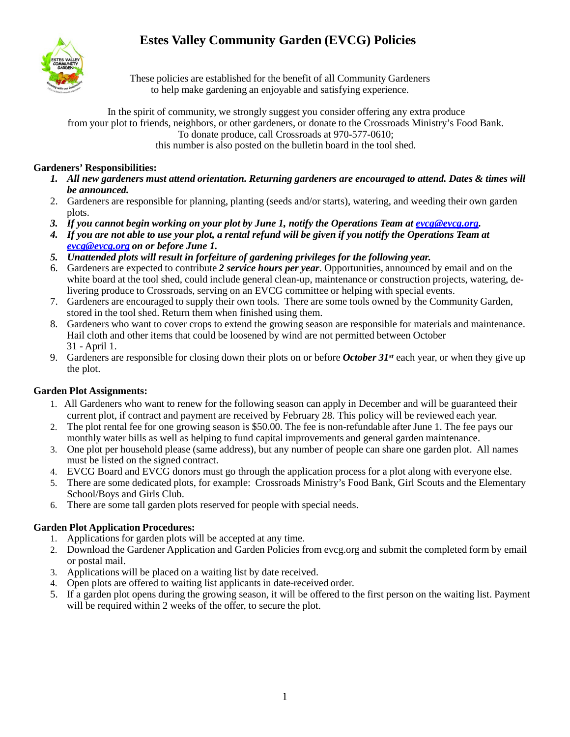# **Estes Valley Community Garden (EVCG) Policies**



These policies are established for the benefit of all Community Gardeners to help make gardening an enjoyable and satisfying experience.

In the spirit of community, we strongly suggest you consider offering any extra produce from your plot to friends, neighbors, or other gardeners, or donate to the Crossroads Ministry's Food Bank. To donate produce, call Crossroads at 970-577-0610; this number is also posted on the bulletin board in the tool shed.

## **Gardeners' Responsibilities:**

- *1. All new gardeners must attend orientation. Returning gardeners are encouraged to attend. Dates & times will be announced.*
- 2. Gardeners are responsible for planning, planting (seeds and/or starts), watering, and weeding their own garden plots.
- *3. If you cannot begin working on your plot by June 1, notify the Operations Team at [evcg@evcg.org.](mailto:evcg@evcg.org)*
- 4. If you are not able to use your plot, a rental refund will be given if you notify the Operations Team at *[evcg@evcg.org](mailto:evcg@evcg.org) on or before June 1.*
- *5. Unattended plots will result in forfeiture of gardening privileges for the following year.*
- 6. Gardeners are expected to contribute *2 service hours per year*. Opportunities, announced by email and on the white board at the tool shed, could include general clean-up, maintenance or construction projects, watering, delivering produce to Crossroads, serving on an EVCG committee or helping with special events.
- 7. Gardeners are encouraged to supply their own tools. There are some tools owned by the Community Garden, stored in the tool shed. Return them when finished using them.
- 8. Gardeners who want to cover crops to extend the growing season are responsible for materials and maintenance. Hail cloth and other items that could be loosened by wind are not permitted between October 31 - April 1.
- 9. Gardeners are responsible for closing down their plots on or before *October 31st* each year, or when they give up the plot.

# **Garden Plot Assignments:**

- 1. All Gardeners who want to renew for the following season can apply in December and will be guaranteed their current plot, if contract and payment are received by February 28. This policy will be reviewed each year.
- 2. The plot rental fee for one growing season is \$50.00. The fee is non-refundable after June 1. The fee pays our monthly water bills as well as helping to fund capital improvements and general garden maintenance.
- 3. One plot per household please (same address), but any number of people can share one garden plot. All names must be listed on the signed contract.
- 4. EVCG Board and EVCG donors must go through the application process for a plot along with everyone else.
- 5. There are some dedicated plots, for example: Crossroads Ministry's Food Bank, Girl Scouts and the Elementary School/Boys and Girls Club.
- 6. There are some tall garden plots reserved for people with special needs.

# **Garden Plot Application Procedures:**

- 1. Applications for garden plots will be accepted at any time.
- 2. Download the Gardener Application and Garden Policies from evcg.org and submit the completed form by email or postal mail.
- 3. Applications will be placed on a waiting list by date received.
- 4. Open plots are offered to waiting list applicants in date-received order.
- 5. If a garden plot opens during the growing season, it will be offered to the first person on the waiting list. Payment will be required within 2 weeks of the offer, to secure the plot.